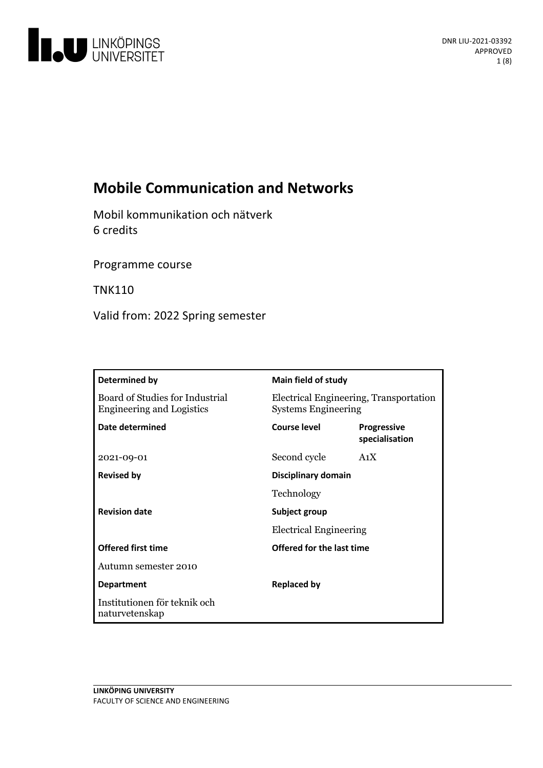

# **Mobile Communication and Networks**

Mobil kommunikation och nätverk 6 credits

Programme course

TNK110

Valid from: 2022 Spring semester

| Determined by                                                       | Main field of study                                                  |                                      |
|---------------------------------------------------------------------|----------------------------------------------------------------------|--------------------------------------|
| Board of Studies for Industrial<br><b>Engineering and Logistics</b> | Electrical Engineering, Transportation<br><b>Systems Engineering</b> |                                      |
| Date determined                                                     | Course level                                                         | <b>Progressive</b><br>specialisation |
| 2021-09-01                                                          | Second cycle                                                         | A <sub>1</sub> X                     |
| <b>Revised by</b>                                                   | Disciplinary domain                                                  |                                      |
|                                                                     | Technology                                                           |                                      |
| <b>Revision date</b>                                                | Subject group<br><b>Electrical Engineering</b>                       |                                      |
|                                                                     |                                                                      |                                      |
| <b>Offered first time</b>                                           | <b>Offered for the last time</b>                                     |                                      |
| Autumn semester 2010                                                |                                                                      |                                      |
| <b>Department</b>                                                   | <b>Replaced by</b>                                                   |                                      |
| Institutionen för teknik och<br>naturvetenskap                      |                                                                      |                                      |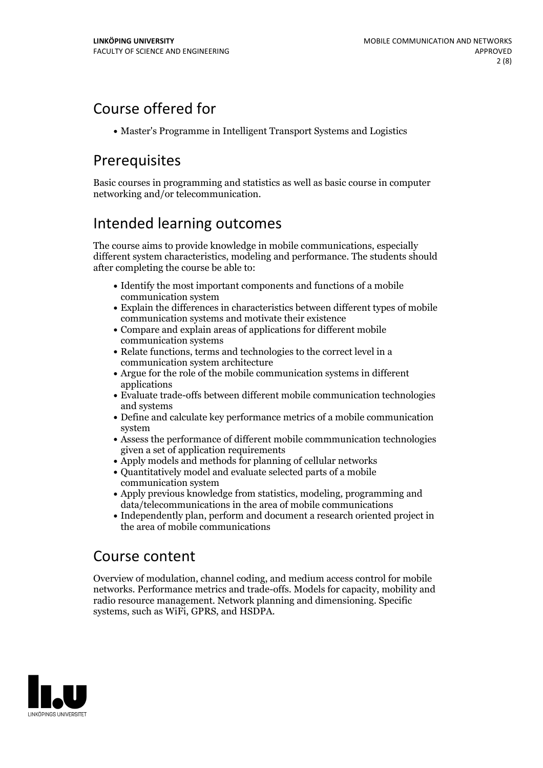# Course offered for

Master's Programme in Intelligent Transport Systems and Logistics

# Prerequisites

Basic courses in programming and statistics as well as basic course in computer networking and/or telecommunication.

# Intended learning outcomes

The course aims to provide knowledge in mobile communications, especially different system characteristics, modeling and performance. The students should after completing the course be able to:

- Identify the most important components and functions of a mobile communication system
- Explain the differences in characteristics between different types of mobile communication systems and motivate their existence
- Compare and explain areas of applications for different mobile communication systems
- Relate functions, terms and technologies to the correct level in a communication system architecture
- $\bullet$  Argue for the role of the mobile communication systems in different applications
- Evaluate trade-offs between different mobile communication technologies and systems
- Define and calculate key performance metrics of a mobile communication system
- $\bullet$  Assess the performance of different mobile commmunication technologies given a set of application requirements
- Apply models and methods for planning of cellular networks
- Quantitatively model and evaluate selected parts of a mobile communication system
- Apply previous knowledge from statistics, modeling, programming and data/telecommunications in the area of mobile communications
- Independently plan, perform and document a research oriented project in the area of mobile communications

# Course content

Overview of modulation, channel coding, and medium access control for mobile networks. Performance metrics and trade-offs. Models for capacity, mobility and radio resource management. Network planning and dimensioning. Specific systems, such as WiFi, GPRS, and HSDPA.

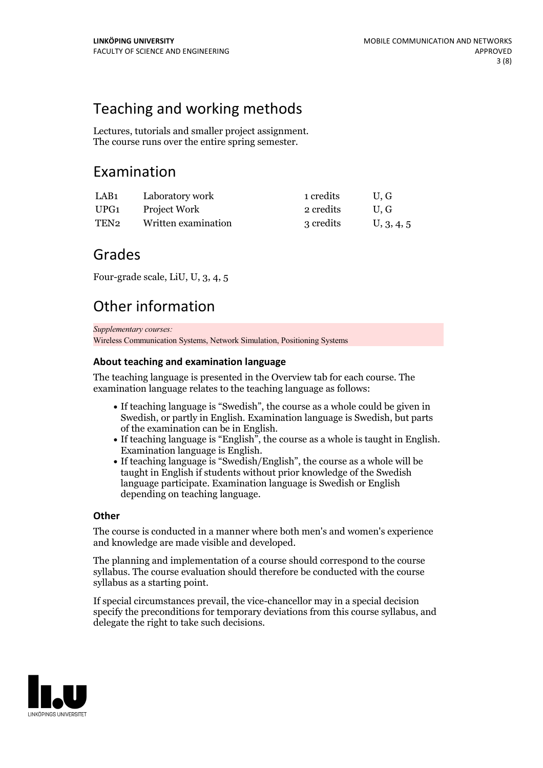# Teaching and working methods

Lectures, tutorials and smaller project assignment. The course runs over the entire spring semester.

## Examination

| LAB1 | Laboratory work     | 1 credits | U.G        |
|------|---------------------|-----------|------------|
| UPG1 | Project Work        | 2 credits | U.G        |
| TEN2 | Written examination | 3 credits | U, 3, 4, 5 |

## Grades

Four-grade scale, LiU, U, 3, 4, 5

# Other information

*Supplementary courses:*

Wireless Communication Systems, Network Simulation, Positioning Systems

### **About teaching and examination language**

The teaching language is presented in the Overview tab for each course. The examination language relates to the teaching language as follows:

- If teaching language is "Swedish", the course as a whole could be given in Swedish, or partly in English. Examination language is Swedish, but parts
- of the examination can be in English. If teaching language is "English", the course as <sup>a</sup> whole is taught in English. Examination language is English. If teaching language is "Swedish/English", the course as <sup>a</sup> whole will be
- taught in English if students without prior knowledge of the Swedish language participate. Examination language is Swedish or English depending on teaching language.

### **Other**

The course is conducted in a manner where both men's and women's experience and knowledge are made visible and developed.

The planning and implementation of a course should correspond to the course syllabus. The course evaluation should therefore be conducted with the course syllabus as a starting point.

If special circumstances prevail, the vice-chancellor may in a special decision specify the preconditions for temporary deviations from this course syllabus, and delegate the right to take such decisions.

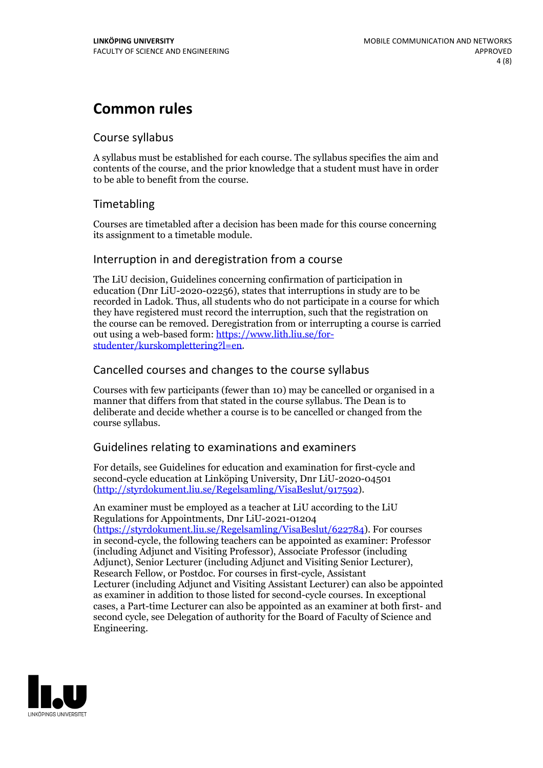# **Common rules**

### Course syllabus

A syllabus must be established for each course. The syllabus specifies the aim and contents of the course, and the prior knowledge that a student must have in order to be able to benefit from the course.

## Timetabling

Courses are timetabled after a decision has been made for this course concerning its assignment to a timetable module.

### Interruption in and deregistration from a course

The LiU decision, Guidelines concerning confirmation of participation in education (Dnr LiU-2020-02256), states that interruptions in study are to be recorded in Ladok. Thus, all students who do not participate in a course for which they have registered must record the interruption, such that the registration on the course can be removed. Deregistration from or interrupting a course is carried out using <sup>a</sup> web-based form: https://www.lith.liu.se/for- [studenter/kurskomplettering?l=en.](https://www.lith.liu.se/for-studenter/kurskomplettering?l=en)

## Cancelled coursesand changes to the course syllabus

Courses with few participants (fewer than 10) may be cancelled or organised in a manner that differs from that stated in the course syllabus. The Dean is to deliberate and decide whether a course is to be cancelled or changed from the course syllabus.

## Guidelines relating to examinations and examiners

For details, see Guidelines for education and examination for first-cycle and second-cycle education at Linköping University, Dnr LiU-2020-04501 [\(http://styrdokument.liu.se/Regelsamling/VisaBeslut/917592\)](http://styrdokument.liu.se/Regelsamling/VisaBeslut/917592).

An examiner must be employed as a teacher at LiU according to the LiU Regulations for Appointments, Dnr LiU-2021-01204 [\(https://styrdokument.liu.se/Regelsamling/VisaBeslut/622784](https://styrdokument.liu.se/Regelsamling/VisaBeslut/622784)). For courses in second-cycle, the following teachers can be appointed as examiner: Professor (including Adjunct and Visiting Professor), Associate Professor (including Adjunct), Senior Lecturer (including Adjunct and Visiting Senior Lecturer), Research Fellow, or Postdoc. For courses in first-cycle, Assistant Lecturer (including Adjunct and Visiting Assistant Lecturer) can also be appointed as examiner in addition to those listed for second-cycle courses. In exceptional cases, a Part-time Lecturer can also be appointed as an examiner at both first- and second cycle, see Delegation of authority for the Board of Faculty of Science and Engineering.

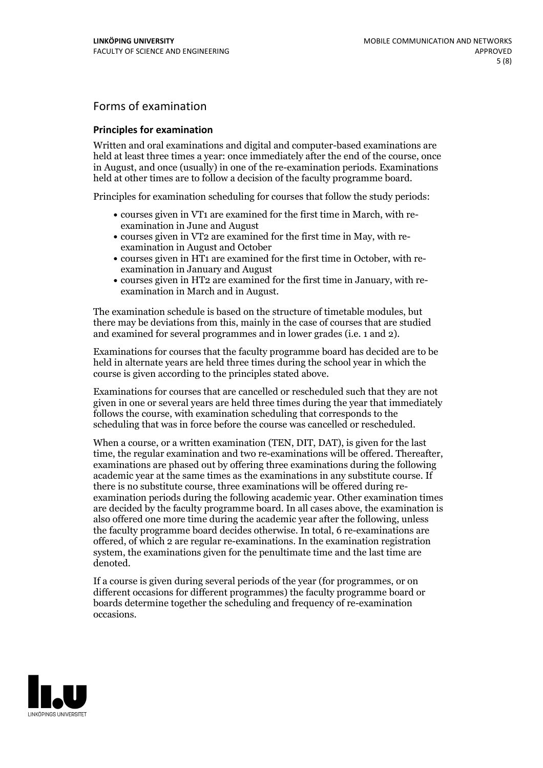## Forms of examination

### **Principles for examination**

Written and oral examinations and digital and computer-based examinations are held at least three times a year: once immediately after the end of the course, once in August, and once (usually) in one of the re-examination periods. Examinations held at other times are to follow a decision of the faculty programme board.

Principles for examination scheduling for courses that follow the study periods:

- courses given in VT1 are examined for the first time in March, with re-examination in June and August
- courses given in VT2 are examined for the first time in May, with re-examination in August and October
- courses given in HT1 are examined for the first time in October, with re-examination in January and August
- courses given in HT2 are examined for the first time in January, with re-examination in March and in August.

The examination schedule is based on the structure of timetable modules, but there may be deviations from this, mainly in the case of courses that are studied and examined for several programmes and in lower grades (i.e. 1 and 2).

Examinations for courses that the faculty programme board has decided are to be held in alternate years are held three times during the school year in which the course is given according to the principles stated above.

Examinations for courses that are cancelled orrescheduled such that they are not given in one or several years are held three times during the year that immediately follows the course, with examination scheduling that corresponds to the scheduling that was in force before the course was cancelled or rescheduled.

When a course, or a written examination (TEN, DIT, DAT), is given for the last time, the regular examination and two re-examinations will be offered. Thereafter, examinations are phased out by offering three examinations during the following academic year at the same times as the examinations in any substitute course. If there is no substitute course, three examinations will be offered during re- examination periods during the following academic year. Other examination times are decided by the faculty programme board. In all cases above, the examination is also offered one more time during the academic year after the following, unless the faculty programme board decides otherwise. In total, 6 re-examinations are offered, of which 2 are regular re-examinations. In the examination registration system, the examinations given for the penultimate time and the last time are denoted.

If a course is given during several periods of the year (for programmes, or on different occasions for different programmes) the faculty programme board or boards determine together the scheduling and frequency of re-examination occasions.

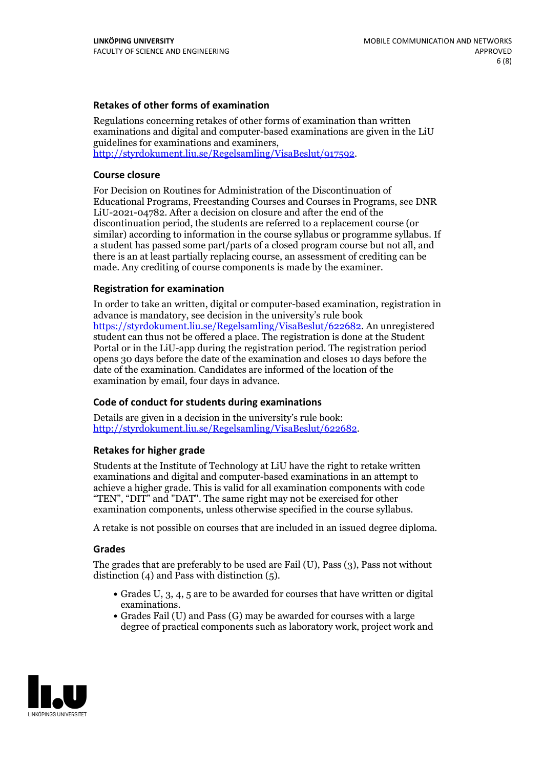### **Retakes of other forms of examination**

Regulations concerning retakes of other forms of examination than written examinations and digital and computer-based examinations are given in the LiU guidelines for examinations and examiners, [http://styrdokument.liu.se/Regelsamling/VisaBeslut/917592.](http://styrdokument.liu.se/Regelsamling/VisaBeslut/917592)

#### **Course closure**

For Decision on Routines for Administration of the Discontinuation of Educational Programs, Freestanding Courses and Courses in Programs, see DNR LiU-2021-04782. After a decision on closure and after the end of the discontinuation period, the students are referred to a replacement course (or similar) according to information in the course syllabus or programme syllabus. If a student has passed some part/parts of a closed program course but not all, and there is an at least partially replacing course, an assessment of crediting can be made. Any crediting of course components is made by the examiner.

#### **Registration for examination**

In order to take an written, digital or computer-based examination, registration in advance is mandatory, see decision in the university's rule book [https://styrdokument.liu.se/Regelsamling/VisaBeslut/622682.](https://styrdokument.liu.se/Regelsamling/VisaBeslut/622682) An unregistered student can thus not be offered a place. The registration is done at the Student Portal or in the LiU-app during the registration period. The registration period opens 30 days before the date of the examination and closes 10 days before the date of the examination. Candidates are informed of the location of the examination by email, four days in advance.

#### **Code of conduct for students during examinations**

Details are given in a decision in the university's rule book: <http://styrdokument.liu.se/Regelsamling/VisaBeslut/622682>.

#### **Retakes for higher grade**

Students at the Institute of Technology at LiU have the right to retake written examinations and digital and computer-based examinations in an attempt to achieve a higher grade. This is valid for all examination components with code "TEN", "DIT" and "DAT". The same right may not be exercised for other examination components, unless otherwise specified in the course syllabus.

A retake is not possible on courses that are included in an issued degree diploma.

#### **Grades**

The grades that are preferably to be used are Fail (U), Pass (3), Pass not without distinction  $(4)$  and Pass with distinction  $(5)$ .

- Grades U, 3, 4, 5 are to be awarded for courses that have written or digital examinations.<br>• Grades Fail (U) and Pass (G) may be awarded for courses with a large
- degree of practical components such as laboratory work, project work and

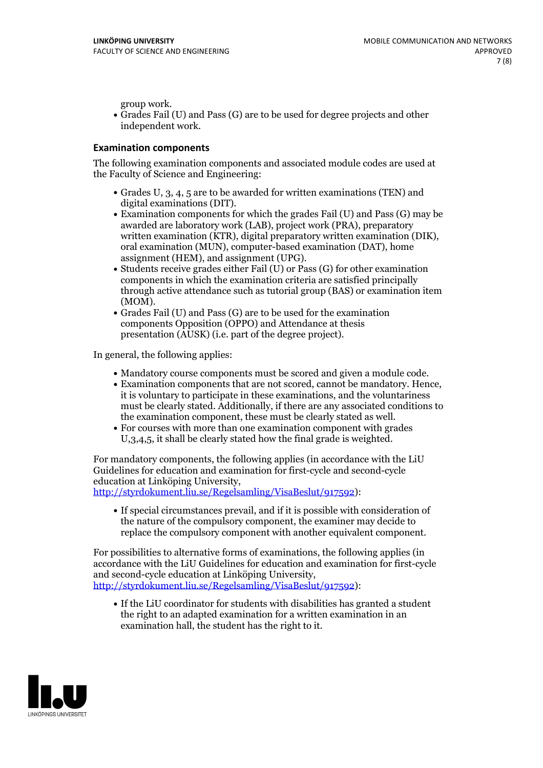group work.<br>• Grades Fail (U) and Pass (G) are to be used for degree projects and other independent work.

### **Examination components**

The following examination components and associated module codes are used at the Faculty of Science and Engineering:

- Grades U, 3, 4, 5 are to be awarded for written examinations (TEN) and
- digital examinations (DIT).<br>• Examination components for which the grades Fail (U) and Pass (G) may be awarded are laboratory work (LAB), project work (PRA), preparatory written examination (KTR), digital preparatory written examination (DIK), oral examination (MUN), computer-based examination (DAT), home
- assignment (HEM), and assignment (UPG).<br>• Students receive grades either Fail (U) or Pass (G) for other examination components in which the examination criteria are satisfied principally through active attendance such as tutorial group (BAS) or examination item
- (MOM).<br>• Grades Fail (U) and Pass (G) are to be used for the examination components Opposition (OPPO) and Attendance at thesis presentation (AUSK) (i.e. part of the degree project).

In general, the following applies:

- 
- Mandatory course components must be scored and given <sup>a</sup> module code. Examination components that are not scored, cannot be mandatory. Hence, it is voluntary to participate in these examinations, and the voluntariness must be clearly stated. Additionally, if there are any associated conditions to
- the examination component, these must be clearly stated as well.<br>• For courses with more than one examination component with grades U,3,4,5, it shall be clearly stated how the final grade is weighted.

For mandatory components, the following applies (in accordance with the LiU Guidelines for education and examination for first-cycle and second-cycle

[http://styrdokument.liu.se/Regelsamling/VisaBeslut/917592\)](http://styrdokument.liu.se/Regelsamling/VisaBeslut/917592):

If special circumstances prevail, and if it is possible with consideration of the nature of the compulsory component, the examiner may decide to replace the compulsory component with another equivalent component.

For possibilities to alternative forms of examinations, the following applies (in accordance with the LiU Guidelines for education and examination for first-cycle [http://styrdokument.liu.se/Regelsamling/VisaBeslut/917592\)](http://styrdokument.liu.se/Regelsamling/VisaBeslut/917592):

If the LiU coordinator for students with disabilities has granted a student the right to an adapted examination for a written examination in an examination hall, the student has the right to it.